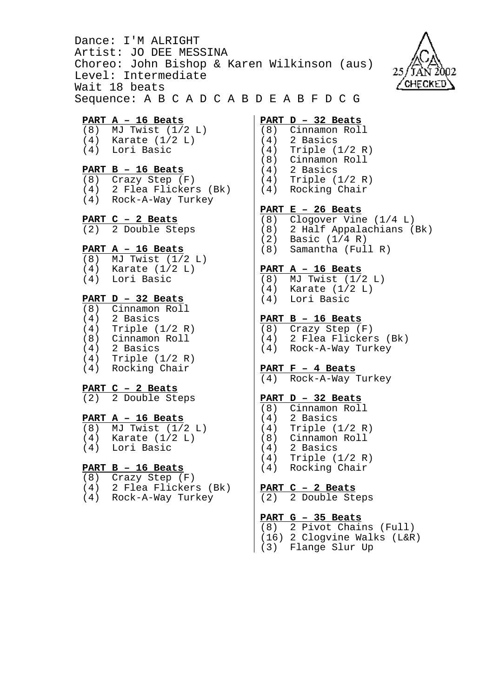Dance: I'M ALRIGHT Artist: JO DEE MESSINA Choreo: John Bishop & Karen Wilkinson (aus) Level: Intermediate Wait 18 beats Sequence: A B C A D C A B D E A B F D C G



### **PART A – 16 Beats**

- (8) MJ Twist (1/2 L)
- (4) Karate (1/2 L)
- (4) Lori Basic

## **PART B – 16 Beats**

- (8) Crazy Step (F)
- (4) 2 Flea Flickers (Bk)
- (4) Rock-A-Way Turkey

#### **PART C – 2 Beats**

(2) 2 Double Steps

### **PART A – 16 Beats**

- $(8)$  MJ Twist  $(1/2 L)$
- (4) Karate (1/2 L)
- (4) Lori Basic

### **PART D – 32 Beats**

(8) Cinnamon Roll (4) 2 Basics (4) Triple (1/2 R) (8) Cinnamon Roll (4) 2 Basics (4) Triple (1/2 R) (4) Rocking Chair

# **PART C – 2 Beats**

 $(2)$  2 Double Steps

#### **PART A – 16 Beats**

- (8) MJ Twist (1/2 L)
- (4) Karate (1/2 L)
- (4) Lori Basic

# **PART B – 16 Beats**

- (8) Crazy Step (F)
- (4) 2 Flea Flickers (Bk)
- (4) Rock-A-Way Turkey

## **PART D – 32 Beats**

- (8) Cinnamon Roll
- (4) 2 Basics (4) Triple (1/2 R)
- (8) Cinnamon Roll
- (4) 2 Basics
- (4) Triple (1/2 R)
- (4) Rocking Chair

## **PART E – 26 Beats**

(8) Clogover Vine (1/4 L) (8) 2 Half Appalachians (Bk) (2) Basic (1/4 R) (8) Samantha (Full R)

### **PART A – 16 Beats**

(8) MJ Twist (1/2 L) (4) Karate (1/2 L) (4) Lori Basic

### **PART B – 16 Beats**

(8) Crazy Step (F) (4) 2 Flea Flickers (Bk) (4) Rock-A-Way Turkey

## **PART F – 4 Beats**

(4) Rock-A-Way Turkey

## **PART D – 32 Beats**

- (8) Cinnamon Roll
- (4) 2 Basics
- (4) Triple (1/2 R)
- (8) Cinnamon Roll
- (4) 2 Basics
- (4) Triple (1/2 R)
- (4) Rocking Chair

# **PART C – 2 Beats**

(2) 2 Double Steps

## **PART G – 35 Beats**

- (8) 2 Pivot Chains (Full)
- (16) 2 Clogvine Walks (L&R)
- (3) Flange Slur Up